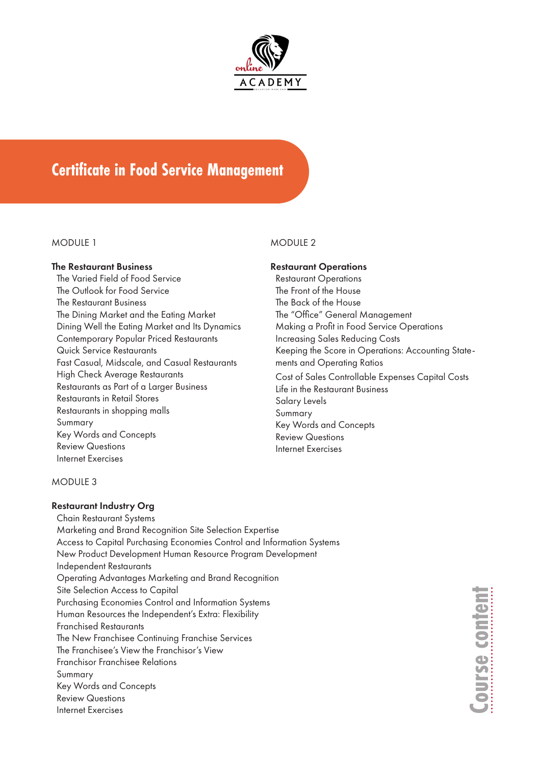

# **Certificate in Food Service Management**

#### MODULE 1

#### The Restaurant Business

The Varied Field of Food Service The Outlook for Food Service The Restaurant Business The Dining Market and the Eating Market Dining Well the Eating Market and Its Dynamics Contemporary Popular Priced Restaurants Quick Service Restaurants Fast Casual, Midscale, and Casual Restaurants High Check Average Restaurants Restaurants as Part of a Larger Business Restaurants in Retail Stores Restaurants in shopping malls Summary Key Words and Concepts Review Questions Internet Exercises

### MODULE 2

# Restaurant Operations

Restaurant Operations The Front of the House The Back of the House The "Office" General Management Making a Profit in Food Service Operations Increasing Sales Reducing Costs Keeping the Score in Operations: Accounting Statements and Operating Ratios Cost of Sales Controllable Expenses Capital Costs Life in the Restaurant Business Salary Levels Summary Key Words and Concepts Review Questions Internet Exercises

### MODULE 3

### Restaurant Industry Org

Chain Restaurant Systems Marketing and Brand Recognition Site Selection Expertise Access to Capital Purchasing Economies Control and Information Systems New Product Development Human Resource Program Development Independent Restaurants Operating Advantages Marketing and Brand Recognition Site Selection Access to Capital Purchasing Economies Control and Information Systems Human Resources the Independent's Extra: Flexibility Franchised Restaurants The New Franchisee Continuing Franchise Services The Franchisee's View the Franchisor's View Franchisor Franchisee Relations Summary Key Words and Concepts Review Questions Internet Exercises

**Course content** ourse conten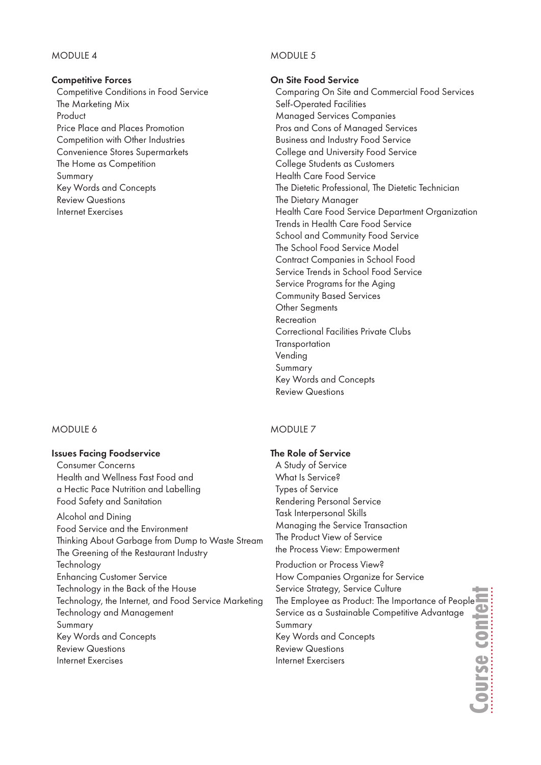# MODULE 4

#### Competitive Forces

Competitive Conditions in Food Service The Marketing Mix Product Price Place and Places Promotion Competition with Other Industries Convenience Stores Supermarkets The Home as Competition Summary Key Words and Concepts Review Questions Internet Exercises

### MODULE 6

#### Issues Facing Foodservice

Consumer Concerns Health and Wellness Fast Food and a Hectic Pace Nutrition and Labelling Food Safety and Sanitation Alcohol and Dining Food Service and the Environment Thinking About Garbage from Dump to Waste Stream The Greening of the Restaurant Industry **Technology** Enhancing Customer Service Technology in the Back of the House Technology, the Internet, and Food Service Marketing Technology and Management Summary Key Words and Concepts Review Questions Internet Exercises

# MODULE 5

#### On Site Food Service

Comparing On Site and Commercial Food Services Self-Operated Facilities Managed Services Companies Pros and Cons of Managed Services Business and Industry Food Service College and University Food Service College Students as Customers Health Care Food Service The Dietetic Professional, The Dietetic Technician The Dietary Manager Health Care Food Service Department Organization Trends in Health Care Food Service School and Community Food Service The School Food Service Model Contract Companies in School Food Service Trends in School Food Service Service Programs for the Aging Community Based Services Other Segments Recreation Correctional Facilities Private Clubs **Transportation** Vending Summary Key Words and Concepts Review Questions

### MODULE<sub>7</sub>

# The Role of Service

A Study of Service What Is Service? Types of Service Rendering Personal Service Task Interpersonal Skills Managing the Service Transaction The Product View of Service the Process View: Empowerment Production or Process View? How Companies Organize for Service

Service Strategy, Service Culture The Employee as Product: The Importance of People<br>
Service as a Sustainable Competitive Advantage<br>
Summary<br>
Key Words and Concepts<br>
Review Questions<br>
Internet Exercisers<br>
Thermet Exercisers Service as a Sustainable Competitive Advantage Summary Key Words and Concepts Review Questions Internet Exercisers

**Course content**